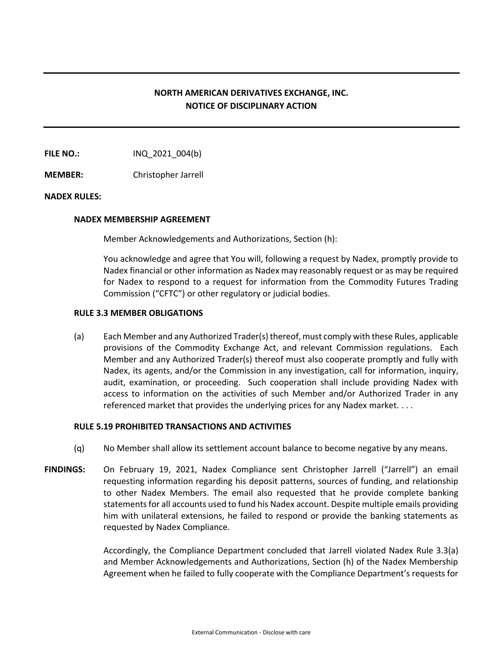# **NORTH AMERICAN DERIVATIVES EXCHANGE, INC. NOTICE OF DISCIPLINARY ACTION**

**FILE NO.:** INQ 2021 004(b)

**MEMBER:** Christopher Jarrell

## **NADEX RULES:**

#### **NADEX MEMBERSHIP AGREEMENT**

Member Acknowledgements and Authorizations, Section (h):

You acknowledge and agree that You will, following a request by Nadex, promptly provide to Nadex financial or other information as Nadex may reasonably request or as may be required for Nadex to respond to a request for information from the Commodity Futures Trading Commission ("CFTC") or other regulatory or judicial bodies.

### **RULE 3.3 MEMBER OBLIGATIONS**

(a) Each Member and any Authorized Trader(s) thereof, must comply with these Rules, applicable provisions of the Commodity Exchange Act, and relevant Commission regulations. Each Member and any Authorized Trader(s) thereof must also cooperate promptly and fully with Nadex, its agents, and/or the Commission in any investigation, call for information, inquiry, audit, examination, or proceeding. Such cooperation shall include providing Nadex with access to information on the activities of such Member and/or Authorized Trader in any referenced market that provides the underlying prices for any Nadex market. . . .

## **RULE 5.19 PROHIBITED TRANSACTIONS AND ACTIVITIES**

- (q) No Member shall allow its settlement account balance to become negative by any means.
- **FINDINGS:** On February 19, 2021, Nadex Compliance sent Christopher Jarrell ("Jarrell") an email requesting information regarding his deposit patterns, sources of funding, and relationship to other Nadex Members. The email also requested that he provide complete banking statements for all accounts used to fund his Nadex account. Despite multiple emails providing him with unilateral extensions, he failed to respond or provide the banking statements as requested by Nadex Compliance.

Accordingly, the Compliance Department concluded that Jarrell violated Nadex Rule 3.3(a) and Member Acknowledgements and Authorizations, Section (h) of the Nadex Membership Agreement when he failed to fully cooperate with the Compliance Department's requests for